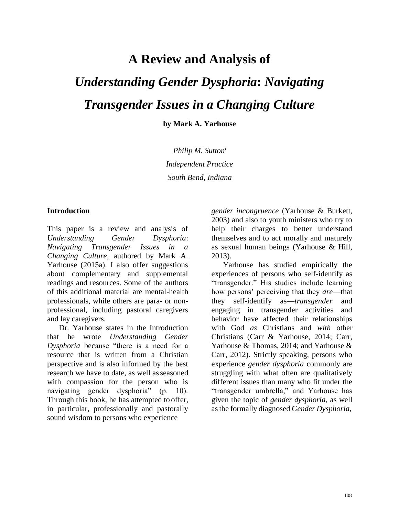# **A Review and Analysis of** *Understanding Gender Dysphoria***:** *Navigating Transgender Issues in a Changing Culture*

**by Mark A. Yarhouse**

*Philip M. Sutton<sup>i</sup> Independent Practice South Bend, Indiana*

#### **Introduction**

This paper is a review and analysis of *Understanding Gender Dysphoria*: *Navigating Transgender Issues in a Changing Culture,* authored by Mark A. Yarhouse (2015a). I also offer suggestions about complementary and supplemental readings and resources. Some of the authors of this additional material are mental-health professionals, while others are para- or nonprofessional, including pastoral caregivers and lay caregivers.

Dr. Yarhouse states in the Introduction that he wrote *Understanding Gender Dysphoria* because "there is a need for a resource that is written from a Christian perspective and is also informed by the best research we have to date, as well asseasoned with compassion for the person who is navigating gender dysphoria" (p. 10). Through this book, he has attempted to offer, in particular, professionally and pastorally sound wisdom to persons who experience

*gender incongruence* (Yarhouse & Burkett, 2003) and also to youth ministers who try to help their charges to better understand themselves and to act morally and maturely as sexual human beings (Yarhouse & Hill, 2013).

Yarhouse has studied empirically the experiences of persons who self-identify as "transgender." His studies include learning how persons' perceiving that they *are*—that they self-identify as—*transgender* and engaging in transgender activities and behavior have affected their relationships with God *as* Christians and *with* other Christians (Carr & Yarhouse, 2014; Carr, Yarhouse & Thomas, 2014; and Yarhouse & Carr, 2012). Strictly speaking, persons who experience *gender dysphoria* commonly are struggling with what often are qualitatively different issues than many who fit under the "transgender umbrella," and Yarhouse has given the topic of *gender dysphoria*, as well asthe formally diagnosed *Gender Dysphoria,*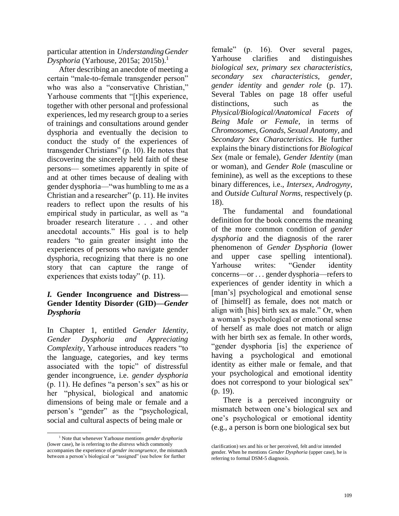particular attention in *UnderstandingGender Dysphoria* (Yarhouse, 2015a; 2015b).<sup>1</sup>

After describing an anecdote of meeting a certain "male-to-female transgender person" who was also a "conservative Christian," Yarhouse comments that "[t]his experience, together with other personal and professional experiences, led my research group to a series of trainings and consultations around gender dysphoria and eventually the decision to conduct the study of the experiences of transgender Christians" (p. 10). He notes that discovering the sincerely held faith of these persons— sometimes apparently in spite of and at other times because of dealing with gender dysphoria—"was humbling to me as a Christian and a researcher" (p. 11). He invites readers to reflect upon the results of his empirical study in particular, as well as "a broader research literature . . . and other anecdotal accounts." His goal is to help readers "to gain greater insight into the experiences of persons who navigate gender dysphoria, recognizing that there is no one story that can capture the range of experiences that exists today" (p. 11).

# *I.* **Gender Incongruence and Distress— Gender Identity Disorder (GID)***—Gender Dysphoria*

In Chapter 1, entitled *Gender Identity, Gender Dysphoria and Appreciating Complexity*, Yarhouse introduces readers "to the language, categories, and key terms associated with the topic" of distressful gender incongruence, i.e. *gender dysphoria*  (p. 11). He defines "a person's sex" as his or her "physical, biological and anatomic dimensions of being male or female and a person's "gender" as the "psychological, social and cultural aspects of being male or

female" (p. 16). Over several pages, Yarhouse clarifies and distinguishes *biological sex, primary sex characteristics, secondary sex characteristics, gender, gender identity* and *gender role* (p. 17). Several Tables on page 18 offer useful distinctions, such as the *Physical/Biological/Anatomical Facets of Being Male or Female,* in terms of *Chromosomes*, *Gonads*, *Sexual Anatomy,* and *Secondary Sex Characteristics*. He further explains the binary distinctions for *Biological Sex* (male or female), *Gender Identity* (man or woman), and *Gender Role* (masculine or feminine), as well as the exceptions to these binary differences, i.e., *Intersex*, *Androgyny*, and *Outside Cultural Norms*, respectively (p. 18).

The fundamental and foundational definition for the book concerns the meaning of the more common condition of *gender dysphoria* and the diagnosis of the rarer phenomenon of *Gender Dysphoria* (lower and upper case spelling intentional). Yarhouse writes: "Gender identity concerns—or . . . gender dysphoria—refers to experiences of gender identity in which a [man's] psychological and emotional sense of [himself] as female, does not match or align with [his] birth sex as male." Or, when a woman's psychological or emotional sense of herself as male does not match or align with her birth sex as female. In other words, "gender dysphoria [is] the experience of having a psychological and emotional identity as either male or female, and that your psychological and emotional identity does not correspond to your biological sex" (p. 19).

There is a perceived incongruity or mismatch between one's biological sex and one's psychological or emotional identity (e.g., a person is born one biological sex but

<sup>1</sup> Note that whenever Yarhouse mentions *gender dysphoria*  (lower case), he is referring to the *distress* which commonly accompanies the experience of *gender incongruence*, the mismatch between a person's biological or "assigned" (see below for further

clarification) sex and his or her perceived, felt and/or intended gender. When he mentions *Gender Dysphoria* (upper case), he is referring to formal DSM-5 diagnosis.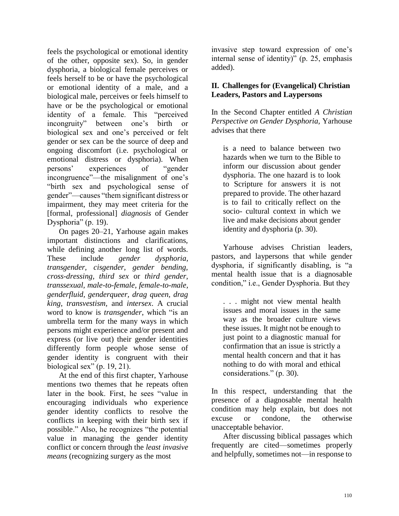feels the psychological or emotional identity of the other, opposite sex). So, in gender dysphoria, a biological female perceives or feels herself to be or have the psychological or emotional identity of a male, and a biological male, perceives or feels himself to have or be the psychological or emotional identity of a female. This "perceived incongruity" between one's birth or biological sex and one's perceived or felt gender or sex can be the source of deep and ongoing discomfort (i.e. psychological or emotional distress or dysphoria). When persons' experiences of "gender incongruence"—the misalignment of one's "birth sex and psychological sense of gender"—causes "them significant distress or impairment, they may meet criteria for the [formal, professional] *diagnosis* of Gender Dysphoria" (p. 19).

On pages 20–21, Yarhouse again makes important distinctions and clarifications, while defining another long list of words. These include *gender dysphoria, transgender, cisgender, gender bending, cross-dressing, third sex* or *third gender, transsexual, male-to-female, female-to-male, genderfluid, genderqueer, drag queen, drag king, transvestism,* and *intersex*. A crucial word to know is *transgender*, which "is an umbrella term for the many ways in which persons might experience and/or present and express (or live out) their gender identities differently form people whose sense of gender identity is congruent with their biological sex" (p. 19, 21).

At the end of this first chapter, Yarhouse mentions two themes that he repeats often later in the book. First, he sees "value in encouraging individuals who experience gender identity conflicts to resolve the conflicts in keeping with their birth sex if possible." Also, he recognizes "the potential value in managing the gender identity conflict or concern through the *least invasive means* (recognizing surgery as the most

invasive step toward expression of one's internal sense of identity)" (p. 25, emphasis added).

## **II. Challenges for (Evangelical) Christian Leaders, Pastors and Laypersons**

In the Second Chapter entitled *A Christian Perspective on Gender Dysphoria,* Yarhouse advises that there

is a need to balance between two hazards when we turn to the Bible to inform our discussion about gender dysphoria. The one hazard is to look to Scripture for answers it is not prepared to provide. The other hazard is to fail to critically reflect on the socio- cultural context in which we live and make decisions about gender identity and dysphoria (p. 30).

Yarhouse advises Christian leaders, pastors, and laypersons that while gender dysphoria, if significantly disabling, is "a mental health issue that is a diagnosable condition," i.e., Gender Dysphoria. But they

. . . might not view mental health issues and moral issues in the same way as the broader culture views these issues. It might not be enough to just point to a diagnostic manual for confirmation that an issue is strictly a mental health concern and that it has nothing to do with moral and ethical considerations." (p. 30).

In this respect, understanding that the presence of a diagnosable mental health condition may help explain, but does not excuse or condone, the otherwise unacceptable behavior.

After discussing biblical passages which frequently are cited—sometimes properly and helpfully, sometimes not—in response to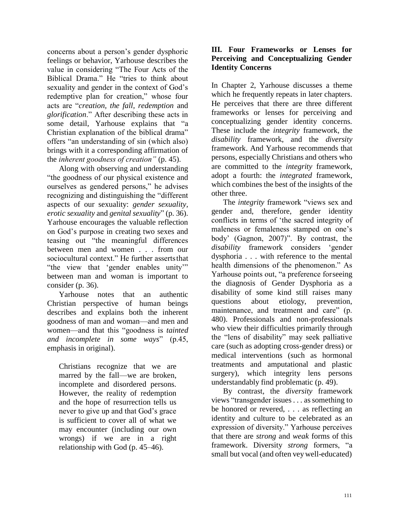concerns about a person's gender dysphoric feelings or behavior, Yarhouse describes the value in considering "The Four Acts of the Biblical Drama." He "tries to think about sexuality and gender in the context of God's redemptive plan for creation," whose four acts are "*creation, the fall, redemption* and *glorification*." After describing these acts in some detail, Yarhouse explains that "a Christian explanation of the biblical drama" offers "an understanding of sin (which also) brings with it a corresponding affirmation of the *inherent goodness of creation"* (p. 45).

Along with observing and understanding "the goodness of our physical existence and ourselves as gendered persons," he advises recognizing and distinguishing the "different aspects of our sexuality: *gender sexuality, erotic sexuality* and *genital sexuality*" (p. 36). Yarhouse encourages the valuable reflection on God's purpose in creating two sexes and teasing out "the meaningful differences between men and women . . . from our sociocultural context." He further asserts that "the view that 'gender enables unity" between man and woman is important to consider (p. 36).

Yarhouse notes that an authentic Christian perspective of human beings describes and explains both the inherent goodness of man and woman—and men and women—and that this "goodness is *tainted and incomplete in some ways*" (p.45, emphasis in original).

Christians recognize that we are marred by the fall—we are broken, incomplete and disordered persons. However, the reality of redemption and the hope of resurrection tells us never to give up and that God's grace is sufficient to cover all of what we may encounter (including our own wrongs) if we are in a right relationship with God (p. 45–46).

## **III. Four Frameworks or Lenses for Perceiving and Conceptualizing Gender Identity Concerns**

In Chapter 2, Yarhouse discusses a theme which he frequently repeats in later chapters. He perceives that there are three different frameworks or lenses for perceiving and conceptualizing gender identity concerns. These include the *integrity* framework, the *disability* framework, and the *diversity*  framework. And Yarhouse recommends that persons, especially Christians and others who are committed to the *integrity* framework, adopt a fourth: the *integrated* framework, which combines the best of the insights of the other three.

The *integrity* framework "views sex and gender and, therefore, gender identity conflicts in terms of 'the sacred integrity of maleness or femaleness stamped on one's body' (Gagnon, 2007)". By contrast, the *disability* framework considers 'gender dysphoria . . . with reference to the mental health dimensions of the phenomenon." As Yarhouse points out, "a preference forseeing the diagnosis of Gender Dysphoria as a disability of some kind still raises many questions about etiology, prevention, maintenance, and treatment and care" (p. 480). Professionals and non-professionals who view their difficulties primarily through the "lens of disability" may seek palliative care (such as adopting cross-gender dress) or medical interventions (such as hormonal treatments and amputational and plastic surgery), which integrity lens persons understandably find problematic (p. 49).

By contrast, the *diversity* framework views "transgender issues . . . as something to be honored or revered, . . . as reflecting an identity and culture to be celebrated as an expression of diversity." Yarhouse perceives that there are *strong* and *weak* forms of this framework. Diversity *strong* formers, "a small but vocal (and often vey well-educated)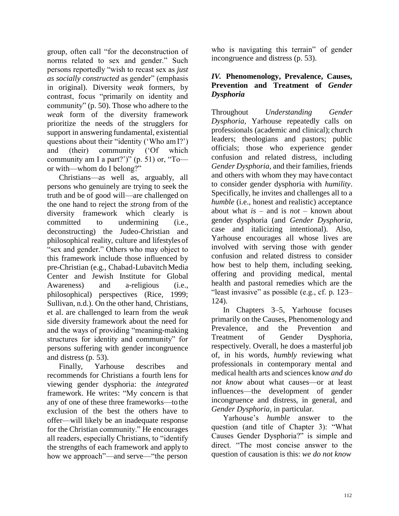group, often call "for the deconstruction of norms related to sex and gender." Such persons reportedly "wish to recast sex as *just as socially constructed* as gender" (emphasis in original). Diversity *weak* formers, by contrast, focus "primarily on identity and community" (p. 50). Those who adhere to the *weak* form of the diversity framework prioritize the needs of the strugglers for support in answering fundamental, existential questions about their "identity ('Who amI?') and (their) community ('Of which community am I a part?')" (p. 51) or, "Toor with—whom do I belong?"

Christians—as well as, arguably, all persons who genuinely are trying to seek the truth and be of good will—are challenged on the one hand to reject the *strong* from of the diversity framework which clearly is committed to undermining (i.e., deconstructing) the Judeo-Christian and philosophical reality, culture and lifestyles of "sex and gender." Others who may object to this framework include those influenced by pre-Christian (e.g., Chabad-Lubavitch Media Center and Jewish Institute for Global Awareness) and a-religious (i.e., philosophical) perspectives (Rice, 1999; Sullivan, n.d.). On the other hand, Christians, et al. are challenged to learn from the *weak*  side diversity framework about the need for and the ways of providing "meaning-making structures for identity and community" for persons suffering with gender incongruence and distress (p. 53).

Finally, Yarhouse describes and recommends for Christians a fourth lens for viewing gender dysphoria: the *integrated*  framework. He writes: "My concern is that any of one of these three frameworks—tothe exclusion of the best the others have to offer—will likely be an inadequate response for the Christian community." He encourages all readers, especially Christians, to "identify the strengths of each framework and apply to how we approach"—and serve—"the person

who is navigating this terrain" of gender incongruence and distress (p. 53).

# *IV.* **Phenomenology, Prevalence, Causes, Prevention and Treatment of** *Gender Dysphoria*

Throughout *Understanding Gender Dysphoria,* Yarhouse repeatedly calls on professionals (academic and clinical); church leaders; theologians and pastors; public officials; those who experience gender confusion and related distress, including *Gender Dysphoria*, and their families, friends and others with whom they may have contact to consider gender dysphoria with *humility*. Specifically, he invites and challenges all to a *humble* (i.e., honest and realistic) acceptance about what *is* – and is *not* – known about gender dysphoria (and *Gender Dysphoria,*  case and italicizing intentional). Also, Yarhouse encourages all whose lives are involved with serving those with gender confusion and related distress to consider how best to help them, including seeking, offering and providing medical, mental health and pastoral remedies which are the "least invasive" as possible (e.g., cf. p. 123– 124).

In Chapters 3–5, Yarhouse focuses primarily on the Causes, Phenomenology and Prevalence, and the Prevention and Treatment of Gender Dysphoria, respectively. Overall, he does a masterful job of, in his words, *humbly* reviewing what professionals in contemporary mental and medical health arts and sciences know *and do not know* about what causes—or at least influences—the development of gender incongruence and distress, in general, and *Gender Dysphoria*, in particular.

Yarhouse's *humble* answer to the question (and title of Chapter 3): "What Causes Gender Dysphoria?" is simple and direct. "The most concise answer to the question of causation is this: *we do not know*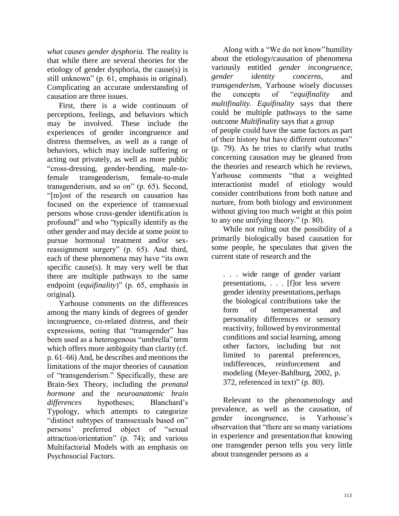*what causes gender dysphoria.* The reality is that while there are several theories for the etiology of gender dysphoria, the cause(s) is still unknown" (p. 61, emphasis in original). Complicating an accurate understanding of causation are three issues.

First, there is a wide continuum of perceptions, feelings, and behaviors which may be involved. These include the experiences of gender incongruence and distress themselves, as well as a range of behaviors, which may include suffering or acting out privately, as well as more public "cross-dressing, gender-bending, male-tofemale transgenderism, female-to-male transgenderism, and so on" (p. 65). Second, "[m]ost of the research on causation has focused on the experience of transsexual persons whose cross-gender identification is profound" and who "typically identify as the other gender and may decide at some point to pursue hormonal treatment and/or sexreassignment surgery" (p. 65). And third, each of these phenomena may have "its own specific cause(s). It may very well be that there are multiple pathways to the same endpoint (*equifinality*)" (p. 65, emphasis in original).

Yarhouse comments on the differences among the many kinds of degrees of gender incongruence, co-related distress, and their expressions, noting that "transgender" has been used as a heterogenous "umbrella" term which offers more ambiguity than clarity (cf. p. 61–66) And, he describes and mentions the limitations of the major theories of causation of "transgenderism." Specifically, these are Brain-Sex Theory, including the *prenatal hormone* and the *neuroanatomic brain differences* hypotheses; Blanchard's Typology, which attempts to categorize "distinct subtypes of transsexuals based on" persons' preferred object of "sexual attraction/orientation" (p. 74); and various Multifactorial Models with an emphasis on Psychosocial Factors.

Along with a "We do not know"humility about the etiology/causation of phenomena variously entitled *gender incongruence*, *gender identity concerns*, and *transgenderism*, Yarhouse wisely discusses the concepts of "*equifinality* and *multifinality. Equifinality* says that there could be multiple pathways to the same outcome *Multifinality* says that a group of people could have the same factors as part of their history but have different outcomes" (p. 79). As he tries to clarify what truths concerning causation may be gleaned from the theories and research which he reviews, Yarhouse comments "that a weighted interactionist model of etiology would consider contributions from both nature and nurture, from both biology and environment without giving too much weight at this point to any one unifying theory." (p. 80).

While not ruling out the possibility of a primarily biologically based causation for some people, he speculates that given the current state of research and the

. . . wide range of gender variant presentations, . . . [f]or less severe gender identity presentations,perhaps the biological contributions take the form of temperamental and personality differences or sensory reactivity, followed byenvironmental conditions and social learning, among other factors, including but not limited to parental preferences, indifferences, reinforcement and modeling (Meyer-Bahlburg, 2002, p. 372, referenced in text)" (p. 80).

Relevant to the phenomenology and prevalence, as well as the causation, of gender incongruence, is Yarhouse's observation that "there are so many variations in experience and presentation that knowing one transgender person tells you very little about transgender persons as a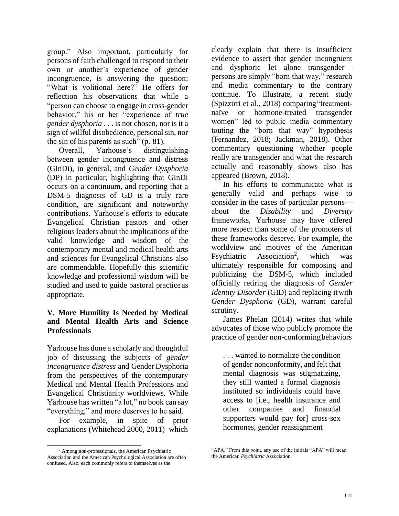group." Also important, particularly for persons of faith challenged to respond to their own or another's experience of gender incongruence, is answering the question: "What is volitional here?" He offers for reflection his observations that while a "person can choose to engage in cross-gender behavior," his or her "experience of *true gender dysphoria* . . . is not chosen, nor is it a sign of willful disobedience, personal sin, nor the sin of his parents as such" (p. 81).

Overall, Yarhouse's distinguishing between gender incongruence and distress (GInDi), in general, and *Gender Dysphoria*  (DP) in particular, highlighting that GInDi occurs on a continuum, and reporting that a DSM-5 diagnosis of GD is a truly rare condition, are significant and noteworthy contributions. Yarhouse's efforts to educate Evangelical Christian pastors and other religious leaders about the implications of the valid knowledge and wisdom of the contemporary mental and medical health arts and sciences for Evangelical Christians also are commendable. Hopefully this scientific knowledge and professional wisdom will be studied and used to guide pastoral practice as appropriate.

## **V. More Humility Is Needed by Medical and Mental Health Arts and Science Professionals**

Yarhouse has done a scholarly and thoughtful job of discussing the subjects of *gender incongruence distress* and Gender Dysphoria from the perspectives of the contemporary Medical and Mental Health Professions and Evangelical Christianity worldviews. While Yarhouse has written "a lot," no book can say "everything," and more deserves to be said.

For example, in spite of prior explanations (Whitehead 2000, 2011) which

clearly explain that there is insufficient evidence to assert that gender incongruent and dysphoric—let alone transgender persons are simply "born that way," research and media commentary to the contrary continue. To illustrate, a recent study (Spizzirri et al., 2018) comparing"treatmentnaïve or hormone-treated transgender women" led to public media commentary touting the "born that way" hypothesis (Fernandez, 2018; Jackman, 2018). Other commentary questioning whether people really are transgender and what the research actually and reasonably shows also has appeared (Brown, 2018).

In his efforts to communicate what is generally valid—and perhaps wise to consider in the cases of particular persons about the *Disability* and *Diversity*  frameworks, Yarhouse may have offered more respect than some of the promoters of these frameworks deserve. For example, the worldview and motives of the American Psychiatric  $\Delta$ ssociation<sup>2</sup>. which was ultimately responsible for composing and publicizing the DSM-5, which included officially retiring the diagnosis of *Gender Identity Disorder* (GID) and replacing itwith *Gender Dysphoria* (GD), warrant careful scrutiny.

James Phelan (2014) writes that while advocates of those who publicly promote the practice of gender non-conformingbehaviors

. . . wanted to normalize thecondition of gender nonconformity, and felt that mental diagnosis was stigmatizing, they still wanted a formal diagnosis instituted so individuals could have access to [i.e., health insurance and other companies and financial supporters would pay for] cross-sex hormones, gender reassignment

<sup>2</sup> Among non-professionals, the American Psychiatric Association and the American Psychological Association are often confused. Also, each commonly refers to themselves as the

<sup>&</sup>quot;APA." From this point, any use of the initials "APA" will mean the American *Psychiatric* Association.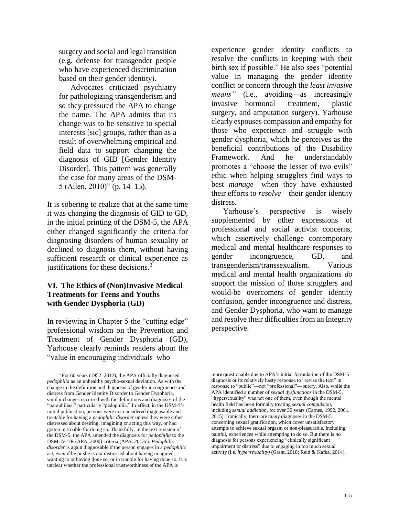surgery and social and legal transition (e.g. defense for transgender people who have experienced discrimination based on their gender identity).

Advocates criticized psychiatry for pathologizing transgenderism and so they pressured the APA to change the name. The APA admits that its change was to be sensitive to special interests [sic] groups, rather than as a result of overwhelming empirical and field data to support changing the diagnosis of GID [Gender Identity Disorder]. This pattern was generally the case for many areas of the DSM-5 (Allen, 2010)" (p. 14–15).

It is sobering to realize that at the same time it was changing the diagnosis of GID to GD, in the initial printing of the DSM-5, the APA either changed significantly the criteria for diagnosing disorders of human sexuality or declined to diagnosis them, without having sufficient research or clinical experience as justifications for these decisions.<sup>3</sup>

#### **VI. The Ethics of (Non)Invasive Medical Treatments for Teens and Youths with Gender Dysphoria (GD)**

In reviewing in Chapter 5 the "cutting edge" professional wisdom on the Prevention and Treatment of Gender Dysphoria (GD), Yarhouse clearly reminds readers about the "value in encouraging individuals who

experience gender identity conflicts to resolve the conflicts in keeping with their birth sex if possible." He also sees "potential value in managing the gender identity conflict or concern through the *least invasive means"* (i.e.*,* avoiding—as increasingly invasive—hormonal treatment, plastic surgery, and amputation surgery). Yarhouse clearly espouses compassion and empathy for those who experience and struggle with gender dysphoria, which he perceives as the beneficial contributions of the Disability Framework. And he understandably promotes a "choose the lesser of two evils" ethic when helping strugglers find ways to best *manage*—when they have exhausted their efforts to *resolve*—their gender identity distress.

Yarhouse's perspective is wisely supplemented by other expressions of professional and social activist concerns, which assertively challenge contemporary medical and mental healthcare responses to gender incongruence, GD, and transgenderism/transsexualism. Various medical and mental health organizations *do*  support the mission of those strugglers and would-be overcomers of gender identity confusion, gender incongruence and distress, and Gender Dysphoria, who want to manage and resolve their difficulties from an Integrity perspective.

 $3$  For 60 years (1952–2012), the APA officially diagnosed *pedophilia* as an unhealthy psycho-sexual deviation. As with the change in the definition and diagnosis of gender incongruence and distress from Gender Identity Disorder to Gender Dysphoria, similar changes occurred with the definitions and diagnoses of the "paraphilias," particularly "pedophilia." In effect, in the DSM-5's initial publication, persons were not considered diagnosable and treatable for having a *pedophilic disorder* unless they were either distressed about desiring, imagining or acting this way, or had gotten in trouble for doing so. Thankfully, in the text revision of the DSM-5, the APA amended the diagnosis for *pedophilia* to the DSM-IV-TR (APA, 2000) criteria (APA, 2013c). *Pedophilic disorder* is again diagnosable if the person engages in a *pedophilic*  act, *even* if he or she is *not* distressed about having imagined, wanting to or having done so, or in trouble for having done so. It is unclear whether the professional trustworthiness of the APA is

more questionable due to APA's initial formulation of the DSM-5 diagnosis or its relatively hasty response to "revise the text" in response to "public"—not "professional"—outcry. Also, while the APA identified a number of *sexual dysfunctions* in the DSM-5, "hypersexuality" was not one of them, even though the mental health field has been formally treating *sexual compulsion*, including *sexual addiction,* for over 30 years (Carnes, 1992, 2001, 2015). Ironically, there are many diagnoses in the DSM-5 concerning sexual gratification, which cover unsatisfactory attempts to achieve sexual orgasm or non-pleasurable, including painful, experiences while attempting to do so. But there is *no*  diagnosis for persons experiencing "clinically significant impairment or distress" due to engaging in too much sexual activity (i.e. *hypersexuality)* (Grant, 2018; Reid & Kafka, 2014).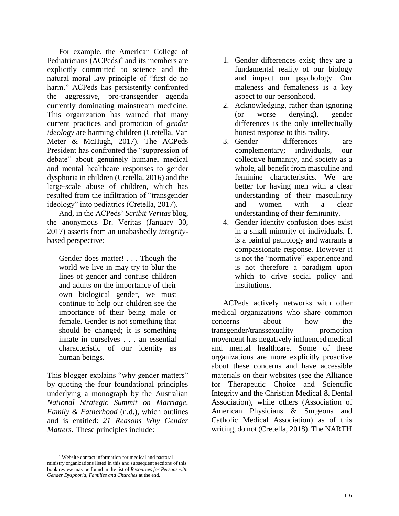For example, the American College of Pediatricians (ACPeds)<sup>4</sup> and its members are explicitly committed to science and the natural moral law principle of "first do no harm." ACPeds has persistently confronted the aggressive, pro-transgender agenda currently dominating mainstream medicine. This organization has warned that many current practices and promotion of *gender ideology* are harming children (Cretella, Van Meter & McHugh, 2017). The ACPeds President has confronted the "suppression of debate" about genuinely humane, medical and mental healthcare responses to gender dysphoria in children (Cretella, 2016) and the large-scale abuse of children, which has resulted from the infiltration of "transgender ideology" into pediatrics (Cretella, 2017).

And, in the ACPeds' *Scribit Veritas* blog, the anonymous Dr. Veritas (January 30, 2017) asserts from an unabashedly *integrity*based perspective:

Gender does matter! . . . Though the world we live in may try to blur the lines of gender and confuse children and adults on the importance of their own biological gender, we must continue to help our children see the importance of their being male or female. Gender is not something that should be changed; it is something innate in ourselves . . . an essential characteristic of our identity as human beings.

This blogger explains "why gender matters" by quoting the four foundational principles underlying a monograph by the Australian *National Strategic Summit on Marriage, Family & Fatherhood* (n.d.), which outlines and is entitled: *21 Reasons Why Gender Matters***.** These principles include:

- 1. Gender differences exist; they are a fundamental reality of our biology and impact our psychology. Our maleness and femaleness is a key aspect to our personhood.
- 2. Acknowledging, rather than ignoring (or worse denying), gender differences is the only intellectually honest response to this reality.
- 3. Gender differences are complementary; individuals, our collective humanity, and society as a whole, all benefit from masculine and feminine characteristics. We are better for having men with a clear understanding of their masculinity and women with a clear understanding of their femininity.
- 4. Gender identity confusion does exist in a small minority of individuals. It is a painful pathology and warrants a compassionate response. However it is not the "normative" experienceand is not therefore a paradigm upon which to drive social policy and institutions.

ACPeds actively networks with other medical organizations who share common concerns about how the transgender/transsexuality promotion movement has negatively influencedmedical and mental healthcare. Some of these organizations are more explicitly proactive about these concerns and have accessible materials on their websites (see the Alliance for Therapeutic Choice and Scientific Integrity and the Christian Medical & Dental Association), while others (Association of American Physicians & Surgeons and Catholic Medical Association) as of this writing, do not (Cretella, 2018). The NARTH

<sup>4</sup> Website contact information for medical and pastoral ministry organizations listed in this and subsequent sections of this book review may be found in the list of *Resources for Persons with Gender Dysphoria, Families and Churches* at the end.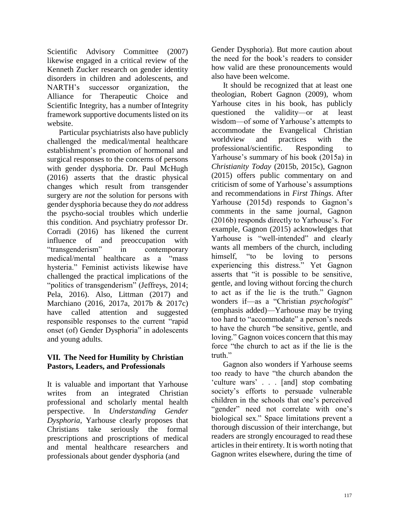Scientific Advisory Committee (2007) likewise engaged in a critical review of the Kenneth Zucker research on gender identity disorders in children and adolescents, and NARTH's successor organization, the Alliance for Therapeutic Choice and Scientific Integrity, has a number of Integrity framework supportive documents listed on its website.

Particular psychiatrists also have publicly challenged the medical/mental healthcare establishment's promotion of hormonal and surgical responses to the concerns of persons with gender dysphoria. Dr. Paul McHugh (2016) asserts that the drastic physical changes which result from transgender surgery are *not* the solution for persons with gender dysphoria because they do *not* address the psycho-social troubles which underlie this condition. And psychiatry professor Dr. Corradi (2016) has likened the current influence of and preoccupation with "transgenderism" in contemporary medical/mental healthcare as a "mass hysteria." Feminist activists likewise have challenged the practical implications of the "politics of transgenderism" (Jeffreys, 2014; Pela, 2016). Also, Littman (2017) and Marchiano (2016, 2017a, 2017b & 2017c) have called attention and suggested responsible responses to the current "rapid onset (of) Gender Dysphoria" in adolescents and young adults.

# **VII. The Need for Humility by Christian Pastors, Leaders, and Professionals**

It is valuable and important that Yarhouse writes from an integrated Christian professional and scholarly mental health perspective. In *Understanding Gender Dysphoria*, Yarhouse clearly proposes that Christians take seriously the formal prescriptions and proscriptions of medical and mental healthcare researchers and professionals about gender dysphoria (and

Gender Dysphoria). But more caution about the need for the book's readers to consider how valid are these pronouncements would also have been welcome.

It should be recognized that at least one theologian, Robert Gagnon (2009), whom Yarhouse cites in his book, has publicly questioned the validity—or at least wisdom—of some of Yarhouse's attempts to accommodate the Evangelical Christian worldview and practices with the professional/scientific. Responding to Yarhouse's summary of his book (2015a) in *Christianity Today* (2015b, 2015c), Gagnon (2015) offers public commentary on and criticism of some of Yarhouse's assumptions and recommendations in *First Things*. After Yarhouse (2015d) responds to Gagnon's comments in the same journal, Gagnon (2016b) responds directly to Yarhouse's. For example, Gagnon (2015) acknowledges that Yarhouse is "well-intended" and clearly wants all members of the church, including himself, "to be loving to persons experiencing this distress." Yet Gagnon asserts that "it is possible to be sensitive, gentle, and loving without forcing the church to act as if the lie is the truth." Gagnon wonders if—as a "Christian *psychologist*" (emphasis added)—Yarhouse may be trying too hard to "accommodate" a person's needs to have the church "be sensitive, gentle, and loving." Gagnon voices concern that this may force "the church to act as if the lie is the truth."

Gagnon also wonders if Yarhouse seems too ready to have "the church abandon the 'culture wars' . . . [and] stop combating society's efforts to persuade vulnerable children in the schools that one's perceived "gender" need not correlate with one's biological sex." Space limitations prevent a thorough discussion of their interchange, but readers are strongly encouraged to read these articlesin their entirety. It is worth noting that Gagnon writes elsewhere, during the time of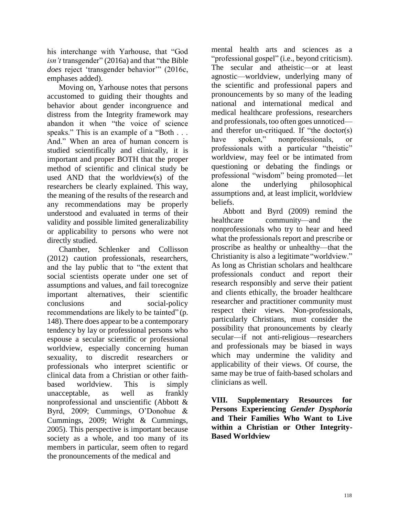his interchange with Yarhouse, that "God *isn't* transgender" (2016a) and that "the Bible *does* reject 'transgender behavior'" (2016c, emphases added).

Moving on, Yarhouse notes that persons accustomed to guiding their thoughts and behavior about gender incongruence and distress from the Integrity framework may abandon it when "the voice of science speaks." This is an example of a "Both . . . And." When an area of human concern is studied scientifically and clinically, it is important and proper BOTH that the proper method of scientific and clinical study be used AND that the worldview(s) of the researchers be clearly explained. This way, the meaning of the results of the research and any recommendations may be properly understood and evaluated in terms of their validity and possible limited generalizability or applicability to persons who were not directly studied.

Chamber, Schlenker and Collisson (2012) caution professionals, researchers, and the lay public that to "the extent that social scientists operate under one set of assumptions and values, and fail torecognize important alternatives, their scientific conclusions and social-policy recommendations are likely to be tainted" (p. 148). There does appear to be a contemporary tendency by lay or professional persons who espouse a secular scientific or professional worldview, especially concerning human sexuality, to discredit researchers or professionals who interpret scientific or clinical data from a Christian or other faithbased worldview. This is simply unacceptable, as well as frankly nonprofessional and unscientific (Abbott & Byrd, 2009; Cummings, O'Donohue & Cummings, 2009; Wright & Cummings, 2005). This perspective is important because society as a whole, and too many of its members in particular, seem often to regard the pronouncements of the medical and

mental health arts and sciences as a "professional gospel" (i.e., beyond criticism). The secular and atheistic—or at least agnostic—worldview, underlying many of the scientific and professional papers and pronouncements by so many of the leading national and international medical and medical healthcare professions, researchers and professionals, too often goes unnoticed and therefor un-critiqued. If "the doctor(s) have spoken," nonprofessionals, or professionals with a particular "theistic" worldview, may feel or be intimated from questioning or debating the findings or professional "wisdom" being promoted—let alone the underlying philosophical assumptions and, at least implicit, worldview beliefs.

Abbott and Byrd (2009) remind the healthcare community—and the nonprofessionals who try to hear and heed what the professionals report and prescribe or proscribe as healthy or unhealthy—that the Christianity is also a legitimate "worldview." As long as Christian scholars and healthcare professionals conduct and report their research responsibly and serve their patient and clients ethically, the broader healthcare researcher and practitioner community must respect their views. Non-professionals, particularly Christians, must consider the possibility that pronouncements by clearly secular—if not anti-religious—researchers and professionals may be biased in ways which may undermine the validity and applicability of their views. Of course, the same may be true of faith-based scholars and clinicians as well.

**VIII. Supplementary Resources for Persons Experiencing** *Gender Dysphoria*  **and Their Families Who Want to Live within a Christian or Other Integrity-Based Worldview**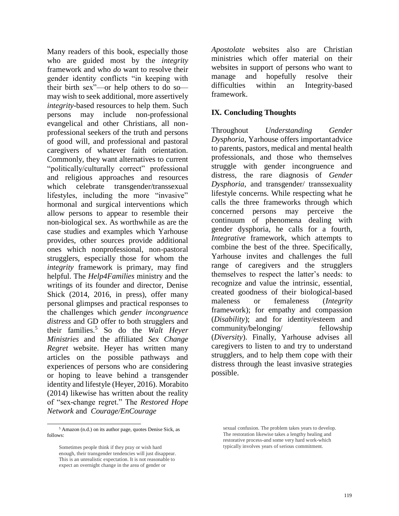Many readers of this book, especially those who are guided most by the *integrity*  framework and who *do* want to resolve their gender identity conflicts "in keeping with their birth sex"—or help others to do so may wish to seek additional, more assertively *integrity*-based resources to help them. Such persons may include non-professional evangelical and other Christians, all nonprofessional seekers of the truth and persons of good will, and professional and pastoral caregivers of whatever faith orientation. Commonly, they want alternatives to current "politically/culturally correct" professional and religious approaches and resources which celebrate transgender/transsexual lifestyles, including the more "invasive" hormonal and surgical interventions which allow persons to appear to resemble their non-biological sex. As worthwhile as are the case studies and examples which Yarhouse provides, other sources provide additional ones which nonprofessional, non-pastoral strugglers, especially those for whom the *integrity* framework is primary, may find helpful. The *Help4Families* ministry and the writings of its founder and director, Denise Shick (2014, 2016, in press), offer many personal glimpses and practical responses to the challenges which *gender incongruence distress* and GD offer to both strugglers and their families.<sup>5</sup> So do the *Walt Heyer Ministries* and the affiliated *Sex Change Regret* website. Heyer has written many articles on the possible pathways and experiences of persons who are considering or hoping to leave behind a transgender identity and lifestyle (Heyer, 2016). Morabito (2014) likewise has written about the reality of "sex-change regret." The *Restored Hope Network* and *Courage/EnCourage*

*Apostolate* websites also are Christian ministries which offer material on their websites in support of persons who want to manage and hopefully resolve their difficulties within an Integrity-based framework.

# **IX. Concluding Thoughts**

Throughout *Understanding Gender Dysphoria*, Yarhouse offers importantadvice to parents, pastors, medical and mental health professionals, and those who themselves struggle with gender incongruence and distress, the rare diagnosis of *Gender Dysphoria*, and transgender/ transsexuality lifestyle concerns. While respecting what he calls the three frameworks through which concerned persons may perceive the continuum of phenomena dealing with gender dysphoria, he calls for a fourth, *Integrative* framework, which attempts to combine the best of the three. Specifically, Yarhouse invites and challenges the full range of caregivers and the strugglers themselves to respect the latter's needs: to recognize and value the intrinsic, essential, created goodness of their biological-based maleness or femaleness (*Integrity*  framework); for empathy and compassion (*Disability*); and for identity/esteem and community/belonging/ fellowship (*Diversity*). Finally, Yarhouse advises all caregivers to listen to and try to understand strugglers, and to help them cope with their distress through the least invasive strategies possible.

<sup>5</sup> Amazon (n.d.) on its author page, quotes Denise Sick, as follows:

Sometimes people think if they pray or wish hard enough, their transgender tendencies will just disappear. This is an unrealistic expectation. It is not reasonable to expect an overnight change in the area of gender or

sexual confusion. The problem takes years to develop. The restoration likewise takes a lengthy healing and restorative process-and some very hard work-which typically involves years of serious commitment.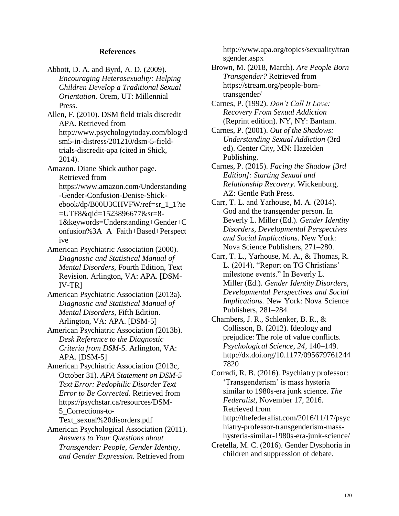#### **References**

- Abbott, D. A. and Byrd, A. D. (2009). *Encouraging Heterosexuality: Helping Children Develop a Traditional Sexual Orientation*. Orem, UT: Millennial Press.
- Allen, F. (2010). DSM field trials discredit APA. Retrieved from <http://www.psychologytoday.com/blog/d> sm5-in-distress/201210/dsm-5-fieldtrials-discredit-apa (cited in Shick, 2014).
- Amazon. Diane Shick author page. Retrieved from https:/[/www.amazon.com/Understanding](http://www.amazon.com/Understanding) -Gender-Confusion-Denise-Shickebook/dp/B00U3CHVFW/ref=sr\_1\_1?ie =UTF8&qid=1523896677&sr=8- 1&keywords=Understanding+Gender+C onfusion%3A+A+Faith+Based+Perspect ive
- American Psychiatric Association (2000). *Diagnostic and Statistical Manual of Mental Disorders,* Fourth Edition, Text Revision. Arlington, VA: APA. [DSM-IV-TR]
- American Psychiatric Association (2013a). *Diagnostic and Statistical Manual of Mental Disorders*, Fifth Edition. Arlington, VA: APA. [DSM-5]
- American Psychiatric Association (2013b). *Desk Reference to the Diagnostic Criteria from DSM-5.* Arlington, VA: APA. [DSM-5]
- American Psychiatric Association (2013c, October 31). *APA Statement on DSM-5 Text Error: Pedophilic Disorder Text Error to Be Corrected*. Retrieved from https://psychstar.ca/resources/DSM-5\_Corrections-to-

Text\_sexual%20disorders.pdf

American Psychological Association (2011)*. Answers to Your Questions about Transgender: People, Gender Identity, and Gender Expression.* Retrieved from

<http://www.apa.org/topics/sexuality/tran> sgender.aspx

Brown, M. (2018, March). *Are People Born Transgender?* Retrieved from https://stream.org/people-borntransgender/

Carnes, P. (1992). *Don't Call It Love: Recovery From Sexual Addiction*  (Reprint edition). NY, NY: Bantam.

Carnes, P. (2001). *Out of the Shadows: Understanding Sexual Addiction* (3rd ed). Center City, MN: Hazelden Publishing.

- Carnes, P. (2015). *Facing the Shadow [3rd Edition]: Starting Sexual and Relationship Recovery*. Wickenburg, AZ: Gentle Path Press.
- Carr, T. L. and Yarhouse, M. A. (2014). God and the transgender person. In Beverly L. Miller (Ed.). *Gender Identity Disorders, Developmental Perspectives and Social Implications*. New York: Nova Science Publishers, 271–280.
- Carr, T. L., Yarhouse, M. A., & Thomas, R. L. (2014). "Report on TG Christians' milestone events." In Beverly L. Miller (Ed.). *Gender Identity Disorders, Developmental Perspectives and Social Implications.* New York: Nova Science Publishers, 281–284.
- Chambers, J. R., Schlenker, B. R., & Collisson, B. (2012). Ideology and prejudice: The role of value conflicts. *Psychological Science, 24*, 140–149. <http://dx.doi.org/10.1177/095679761244> 7820
- Corradi, R. B. (2016). Psychiatry professor: 'Transgenderism' is mass hysteria similar to 1980s-era junk science. *The Federalist*, November 17, 2016. Retrieved from <http://thefederalist.com/2016/11/17/psyc> hiatry-professor-transgenderism-masshysteria-similar-1980s-era-junk-science/
- Cretella, M. C. (2016). Gender Dysphoria in children and suppression of debate.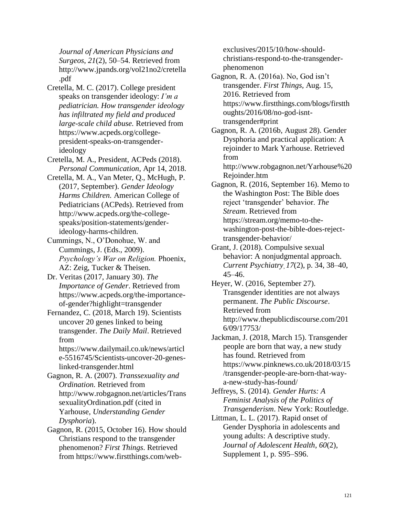*Journal of American Physicians and Surgeos*, *21*(2), 50–54. Retrieved from <http://www.jpands.org/vol21no2/cretella> .pdf

Cretella, M. C. (2017). College president speaks on transgender ideology: *I'm a pediatrician. How transgender ideology has infiltrated my field and produced large-scale child abuse.* Retrieved from https:/[/www.acpeds.org/college](http://www.acpeds.org/college-)president-speaks-on-transgenderideology

Cretella, M. A., President, ACPeds (2018). *Personal Communication*, Apr 14, 2018.

- Cretella, M. A., Van Meter, Q., McHugh, P. (2017, September). *Gender Ideology Harms Children.* American College of Pediatricians (ACPeds). Retrieved from [http://www.acpeds.org/the-college](http://www.acpeds.org/the-college-)speaks/position-statements/genderideology-harms-children.
- Cummings, N., O'Donohue, W. and Cummings, J. (Eds., 2009). *Psychology's War on Religion.* Phoenix, AZ: Zeig, Tucker & Theisen*.*
- Dr. Veritas (2017, January 30). *The Importance of Gender*. Retrieved from https:/[/www.acpeds.org/the-importance](http://www.acpeds.org/the-importance-)of-gender?highlight=transgender

Fernandez, C. (2018, March 19). Scientists uncover 20 genes linked to being transgender. *The Daily Mail*. Retrieved from https:/[/www.dailymail.co.uk/news/articl](http://www.dailymail.co.uk/news/articl)

e-5516745/Scientists-uncover-20-geneslinked-transgender.html

Gagnon, R. A. (2007). *Transsexuality and Ordination.* Retrieved from <http://www.robgagnon.net/articles/Trans> sexualityOrdination.pdf (cited in Yarhouse, *Understanding Gender Dysphoria*).

Gagnon, R. (2015, October 16). How should Christians respond to the transgender phenomenon? *First Things*. Retrieved from https:/[/www.firstthings.com/web-](http://www.firstthings.com/web-) exclusives/2015/10/how-shouldchristians-respond-to-the-transgenderphenomenon

Gagnon, R. A. (2016a). No, God isn't transgender. *First Things,* Aug. 15, 2016. Retrieved from https:/[/www.firstthings.com/blogs/firstth](http://www.firstthings.com/blogs/firstth) oughts/2016/08/no-god-isnttransgender#print

Gagnon, R. A. (2016b, August 28). Gender Dysphoria and practical application: A rejoinder to Mark Yarhouse. Retrieved from

[http://www.robgagnon.net/Yarhouse%20](http://www.robgagnon.net/Yarhouse) Rejoinder.htm

Gagnon, R. (2016, September 16). Memo to the Washington Post: The Bible does reject 'transgender' behavior. *The Stream*. Retrieved from https://stream.org/memo-to-thewashington-post-the-bible-does-rejecttransgender-behavior/

Grant, J. (2018). Compulsive sexual behavior: A nonjudgmental approach. *Current Psychiatry, 17*(2), p. 34, 38–40, 45–46.

Heyer, W. (2016, September 27). Transgender identities are not always permanent. *The Public Discourse*. Retrieved from <http://www.thepublicdiscourse.com/201> 6/09/17753/

Jackman, J. (2018, March 15). Transgender people are born that way, a new study has found. Retrieved from https:/[/www.pinknews.co.uk/2018/03/15](http://www.pinknews.co.uk/2018/03/15) /transgender-people-are-born-that-waya-new-study-has-found/

Jeffreys, S. (2014). *Gender Hurts: A Feminist Analysis of the Politics of Transgenderism*. New York: Routledge.

Littman, L. L. (2017). Rapid onset of Gender Dysphoria in adolescents and young adults: A descriptive study. *Journal of Adolescent Health*, *60*(2), Supplement 1, p. S95–S96.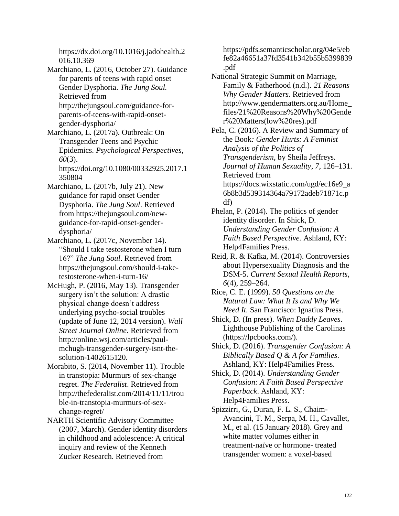https://dx.doi.org/10.1016/j.jadohealth.2 016.10.369

Marchiano, L. (2016, October 27). Guidance for parents of teens with rapid onset Gender Dysphoria. *The Jung Soul.* Retrieved from [http://thejungsoul.com/guidance-for](http://thejungsoul.com/guidance-for-)parents-of-teens-with-rapid-onsetgender-dysphoria/

Marchiano, L. (2017a). Outbreak: On Transgender Teens and Psychic Epidemics. *Psychological Perspectives*, *60*(3). https://doi.org/10.1080/00332925.2017.1 350804

Marchiano, L. (2017b, July 21). New guidance for rapid onset Gender Dysphoria. *The Jung Soul*. Retrieved from https://thejungsoul.com/newguidance-for-rapid-onset-genderdysphoria/

Marchiano, L. (2017c, November 14). "Should I take testosterone when I turn 16?" *The Jung Soul*. Retrieved from https://thejungsoul.com/should-i-taketestosterone-when-i-turn-16/

McHugh, P. (2016, May 13). Transgender surgery isn't the solution: A drastic physical change doesn't address underlying psycho-social troubles (update of June 12, 2014 version). *Wall Street Journal Online.* Retrieved from [http://online.wsj.com/articles/paul](http://online.wsj.com/articles/paul-)mchugh-transgender-surgery-isnt-thesolution-1402615120.

Morabito, S. (2014, November 11). Trouble in transtopia: Murmurs of sex-change regret. *The Federalist*. Retrieved from <http://thefederalist.com/2014/11/11/trou> ble-in-transtopia-murmurs-of-sexchange-regret/

NARTH Scientific Advisory Committee (2007, March). Gender identity disorders in childhood and adolescence: A critical inquiry and review of the Kenneth Zucker Research. Retrieved from

https://pdfs.semanticscholar.org/04e5/eb fe82a46651a37fd3541b342b55b5399839 .pdf

National Strategic Summit on Marriage, Family & Fatherhood (n.d.). *21 Reasons Why Gender Matters.* Retrieved from [http://www.gendermatters.org.au/Home\\_](http://www.gendermatters.org.au/Home_) files/21%20Reasons%20Why%20Gende r%20Matters(low%20res).pdf

Pela, C. (2016). A Review and Summary of the Book*: Gender Hurts: A Feminist Analysis of the Politics of Transgenderism*, by Sheila Jeffreys. *Journal of Human Sexuality*, *7*, 126–131. Retrieved from https://docs.wixstatic.com/ugd/ec16e9\_a 6b8b3d539314364a79172adeb71871c.p df)

Phelan, P. (2014). The politics of gender identity disorder. In Shick, D. *Understanding Gender Confusion: A Faith Based Perspective.* Ashland, KY: Help4Families Press.

Reid, R. & Kafka, M. (2014). Controversies about Hypersexuality Diagnosis and the DSM-5. *Current Sexual Health Reports*, *6*(4), 259–264.

Rice, C. E. (1999). *50 Questions on the Natural Law: What It Is and Why We Need It.* San Francisco: Ignatius Press.

Shick, D. (In press). *When Daddy Leaves*. Lighthouse Publishing of the Carolinas (https://lpcbooks.com/).

Shick, D. (2016). *Transgender Confusion: A Biblically Based Q & A for Families*. Ashland, KY: Help4Families Press.

Shick, D. (2014). *Understanding Gender Confusion: A Faith Based Perspective Paperback*. Ashland, KY: Help4Families Press.

Spizzirri, G., Duran, F. L. S., Chaim-Avancini, T. M., Serpa, M. H., Cavallet, M., et al. (15 January 2018). Grey and white matter volumes either in treatment-naïve or hormone- treated transgender women: a voxel-based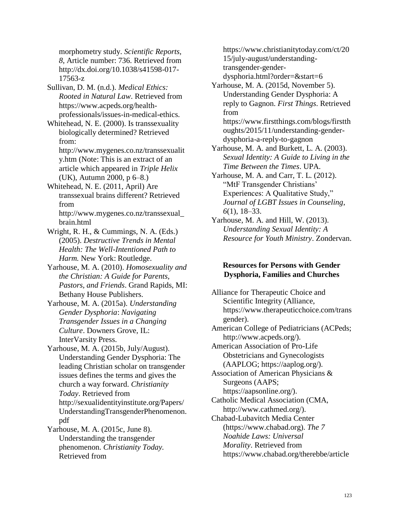morphometry study. *Scientific Reports, 8*, Article number: 736. Retrieved from <http://dx.doi.org/10.1038/s41598-017-> 17563-z

Sullivan, D. M. (n.d.). *Medical Ethics: Rooted in Natural Law*. Retrieved from https:/[/www.acpeds.org/health](http://www.acpeds.org/health-)professionals/issues-in-medical-ethics.

Whitehead, N. E. (2000). Is transsexuality biologically determined? Retrieved from:

<http://www.mygenes.co.nz/transsexualit> y.htm (Note: This is an extract of an article which appeared in *Triple Helix*  (UK), Autumn 2000, p 6–8.)

Whitehead, N. E. (2011, April) Are transsexual brains different? Retrieved from [http://www.mygenes.co.nz/transsexual\\_](http://www.mygenes.co.nz/transsexual_)

brain.html Wright, R. H., & Cummings, N. A. (Eds.)

(2005). *Destructive Trends in Mental Health: The Well-Intentioned Path to Harm.* New York: Routledge.

Yarhouse, M. A. (2010). *Homosexuality and the Christian: A Guide for Parents, Pastors, and Friends*. Grand Rapids, MI: Bethany House Publishers.

Yarhouse, M. A. (2015a). *Understanding Gender Dysphoria*: *Navigating Transgender Issues in a Changing Culture*. Downers Grove, IL: InterVarsity Press.

Yarhouse, M. A. (2015b, July/August). Understanding Gender Dysphoria: The leading Christian scholar on transgender issues defines the terms and gives the church a way forward. *Christianity Today*. Retrieved from <http://sexualidentityinstitute.org/Papers/> UnderstandingTransgenderPhenomenon. pdf

Yarhouse, M. A. (2015c, June 8). Understanding the transgender phenomenon. *Christianity Today.*  Retrieved from

https:/[/www.christianitytoday.com/ct/20](http://www.christianitytoday.com/ct/20) 15/july-august/understandingtransgender-genderdysphoria.html?order=&start=6

Yarhouse, M. A. (2015d, November 5). Understanding Gender Dysphoria: A reply to Gagnon. *First Things*. Retrieved from https:/[/www.firstthings.com/blogs/firstth](http://www.firstthings.com/blogs/firstth) oughts/2015/11/understanding-genderdysphoria-a-reply-to-gagnon

Yarhouse, M. A. and Burkett, L. A. (2003). *Sexual Identity: A Guide to Living in the Time Between the Times*. UPA.

Yarhouse, M. A. and Carr, T. L. (2012). "MtF Transgender Christians' Experiences: A Qualitative Study," *Journal of LGBT Issues in Counseling*, *6*(1), 18–33.

Yarhouse, M. A. and Hill, W. (2013). *Understanding Sexual Identity: A Resource for Youth Ministry*. Zondervan.

#### **Resources for Persons with Gender Dysphoria, Families and Churches**

Alliance for Therapeutic Choice and Scientific Integrity (Alliance, https:/[/www.therapeuticchoice.com/trans](http://www.therapeuticchoice.com/trans) gender). American College of Pediatricians (ACPeds; [http://www.acpeds.org/\).](http://www.acpeds.org/)) American Association of Pro-Life Obstetricians and Gynecologists (AAPLOG; https://aaplog.org/). Association of American Physicians & Surgeons (AAPS; https://aapsonline.org/). Catholic Medical Association (CMA, [http://www.cathmed.org/\).](http://www.cathmed.org/)) Chabad-Lubavitch Media Center (https://www.chabad.org). *The 7 Noahide Laws: Universal Morality*. Retrieved from https:/[/www.chabad.org/therebbe/article](http://www.chabad.org/therebbe/article)